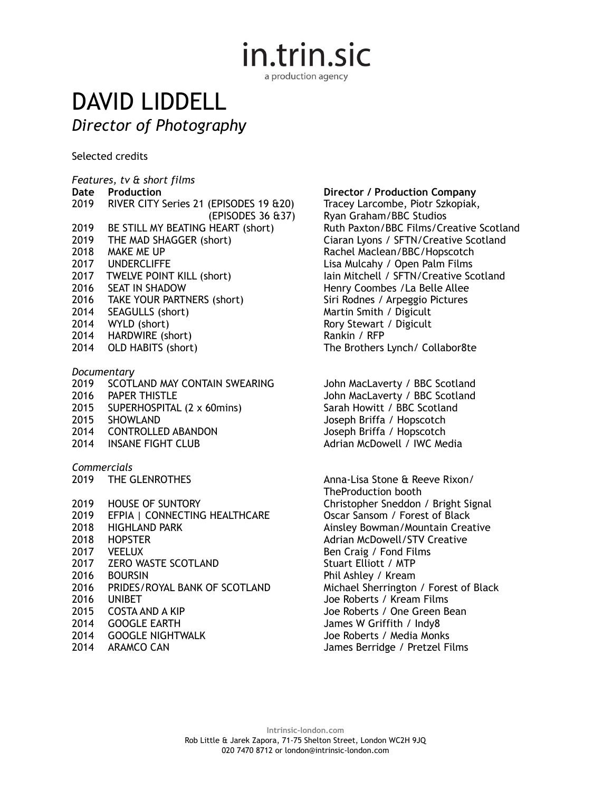in.trin.sic

a production agency

## DAVID LIDDELL *Director of Photography*

Selected credits

*Features, tv & short films*  2019 RIVER CITY Series 21 (EPISODES 19 &20) 2019 BE STILL MY BEATING HEART (short) 2019 THE MAD SHAGGER (short) Ciaran Lyons / SFTN/Creative Scotland 2018 MAKE ME UP **Rachel Maclean/BBC/Hopscotch** 2017 UNDERCLIFFE Lisa Mulcahy / Open Palm Films<br>2017 TWELVE POINT KILL (short) Lain Mitchell / SFTN/Creative Sc 2016 SEAT IN SHADOW Henry Coombes /La Belle Allee 2016 TAKE YOUR PARTNERS (short) Siri Rodnes / Arpeggio Pictures 2014 SEAGULLS (short) 2014 SEAGULLS (short) 2014 WYLD (short) Rory Stewart / Digicult Rory Stewart / Digicult 2014 HARDWIRE (short) 2014 HARDWIRE (short) 2014 OLD HABITS (short) The Brothers Lynch/ Collabor8te *Documentary* 

## 2019 SCOTLAND MAY CONTAIN SWEARINGJohn MacLaverty / BBC Scotland 2016 PAPER THISTLE<br>
2015 SUPERHOSPITAL (2 x 60mins) Sarah Howitt / BBC Scotland 2015 SUPERHOSPITAL  $(2 \times 60$ mins) 2015 SHOWLAND Joseph Briffa / Hopscotch 2014 CONTROLLED ABANDON

*Commercials*

| <b>HOUSE OF SUNTORY</b><br>EFPIA   CONNECTING HEALTHCARE |
|----------------------------------------------------------|
| HIGHLAND PARK                                            |
| <b>HOPSTER</b>                                           |
| VEELUX                                                   |
| <b>ZERO WASTE SCOTLAND</b>                               |
| <b>BOURSIN</b>                                           |
| PRIDES/ROYAL BANK OF SCOTLAND                            |
| UNIBET                                                   |
| COSTA AND A KIP                                          |
| GOOGLE FARTH                                             |
| <b>GOOGLE NIGHTWALK</b>                                  |
| ARAMCO CAN                                               |
|                                                          |

## **Director / Production Company**<br>Tracey Larcombe, Piotr Szkopiak,

(EPISODES 36 & 37) Ryan Graham/BBC Studios<br>HEART (short) Ruth Paxton/BBC Films/Creative Scotland lain Mitchell / SFTN/Creative Scotland

2014 INSANE FIGHT CLUB And The Matrian McDowell / IWC Media

Anna-Lisa Stone & Reeve Rixon/ TheProduction booth Christopher Sneddon / Bright Signal Oscar Sansom / Forest of Black Ainsley Bowman/Mountain Creative Adrian McDowell/STV Creative Ben Craig / Fond Films Stuart Elliott / MTP Phil Ashley / Kream Michael Sherrington / Forest of Black Joe Roberts / Kream Films Joe Roberts / One Green Bean James W Griffith / Indy8 Joe Roberts / Media Monks James Berridge / Pretzel Films